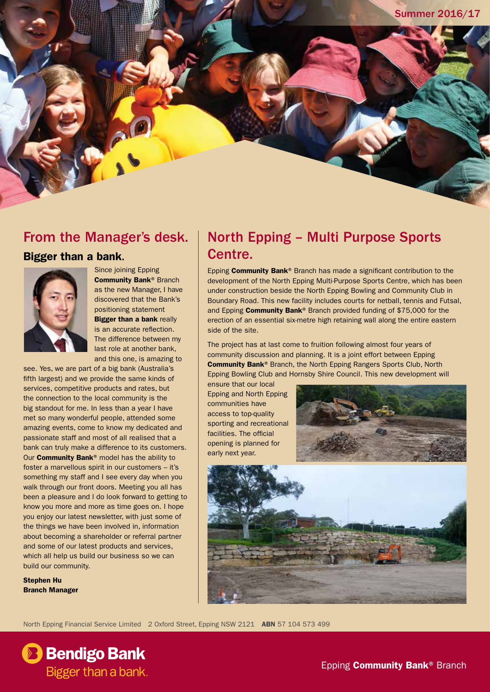#### From the Manager's desk.

#### Bigger than a bank.



Since joining Epping Community Bank® Branch as the new Manager, I have discovered that the Bank's positioning statement **Bigger than a bank really** is an accurate reflection. The difference between my last role at another bank, and this one, is amazing to

see. Yes, we are part of a big bank (Australia's fifth largest) and we provide the same kinds of services, competitive products and rates, but the connection to the local community is the big standout for me. In less than a year I have met so many wonderful people, attended some amazing events, come to know my dedicated and passionate staff and most of all realised that a bank can truly make a difference to its customers. Our Community Bank® model has the ability to foster a marvellous spirit in our customers – it's something my staff and I see every day when you walk through our front doors. Meeting you all has been a pleasure and I do look forward to getting to know you more and more as time goes on. I hope you enjoy our latest newsletter, with just some of the things we have been involved in, information about becoming a shareholder or referral partner and some of our latest products and services, which all help us build our business so we can build our community.

Stephen Hu Branch Manager

### North Epping – Multi Purpose Sports Centre.

Epping Community Bank® Branch has made a significant contribution to the development of the North Epping Multi-Purpose Sports Centre, which has been under construction beside the North Epping Bowling and Community Club in Boundary Road. This new facility includes courts for netball, tennis and Futsal, and Epping Community Bank® Branch provided funding of \$75,000 for the erection of an essential six-metre high retaining wall along the entire eastern side of the site.

The project has at last come to fruition following almost four years of community discussion and planning. It is a joint effort between Epping Community Bank® Branch, the North Epping Rangers Sports Club, North Epping Bowling Club and Hornsby Shire Council. This new development will

ensure that our local Epping and North Epping communities have access to top-quality sporting and recreational facilities. The official opening is planned for early next year.





North Epping Financial Service Limited 2 Oxford Street, Epping NSW 2121 ABN 57 104 573 499

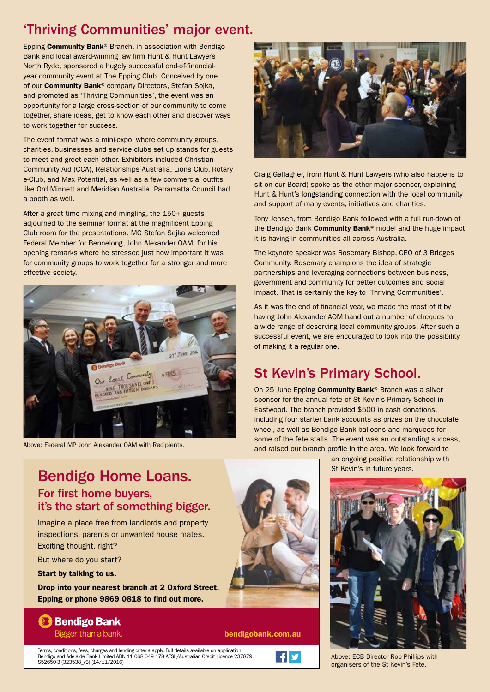## 'Thriving Communities' major event.

Epping Community Bank® Branch, in association with Bendigo Bank and local award-winning law firm Hunt & Hunt Lawyers North Ryde, sponsored a hugely successful end-of-financialyear community event at The Epping Club. Conceived by one of our **Community Bank®** company Directors, Stefan Sojka, and promoted as 'Thriving Communities', the event was an opportunity for a large cross-section of our community to come together, share ideas, get to know each other and discover ways to work together for success.

The event format was a mini-expo, where community groups, charities, businesses and service clubs set up stands for guests to meet and greet each other. Exhibitors included Christian Community Aid (CCA), Relationships Australia, Lions Club, Rotary e-Club, and Max Potential, as well as a few commercial outfits like Ord Minnett and Meridian Australia. Parramatta Council had a booth as well.

After a great time mixing and mingling, the 150+ guests adjourned to the seminar format at the magnificent Epping Club room for the presentations. MC Stefan Sojka welcomed Federal Member for Bennelong, John Alexander OAM, for his opening remarks where he stressed just how important it was for community groups to work together for a stronger and more effective society.



Above: Federal MP John Alexander OAM with Recipients.



Craig Gallagher, from Hunt & Hunt Lawyers (who also happens to sit on our Board) spoke as the other major sponsor, explaining Hunt & Hunt's longstanding connection with the local community and support of many events, initiatives and charities.

Tony Jensen, from Bendigo Bank followed with a full run-down of the Bendigo Bank **Community Bank**<sup>®</sup> model and the huge impact it is having in communities all across Australia.

The keynote speaker was Rosemary Bishop, CEO of 3 Bridges Community. Rosemary champions the idea of strategic partnerships and leveraging connections between business, government and community for better outcomes and social impact. That is certainly the key to 'Thriving Communities'.

As it was the end of financial year, we made the most of it by having John Alexander AOM hand out a number of cheques to a wide range of deserving local community groups. After such a successful event, we are encouraged to look into the possibility of making it a regular one.

# St Kevin's Primary School.

On 25 June Epping Community Bank<sup>®</sup> Branch was a silver sponsor for the annual fete of St Kevin's Primary School in Eastwood. The branch provided \$500 in cash donations, including four starter bank accounts as prizes on the chocolate wheel, as well as Bendigo Bank balloons and marquees for some of the fete stalls. The event was an outstanding success, and raised our branch profile in the area. We look forward to

> an ongoing positive relationship with St Kevin's in future years.



Above: ECB Director Rob Phillips with organisers of the St Kevin's Fete.

### Bendigo Home Loans. For first home buyers, it's the start of something bigger.

Imagine a place free from landlords and property inspections, parents or unwanted house mates. Exciting thought, right?

But where do you start?

Start by talking to us.

Drop into your nearest branch at 2 Oxford Street, Epping or phone 9869 0818 to find out more.

#### **B** Bendigo Bank Bigger than a bank.

bendigobank.com.au

Terms, conditions, fees, charges and lending criteria apply. Full details available on application. Bendigo and Adelaide Bank Limited ABN 11 068 049 178 AFSL/Australian Credit Licence 237879. S52650-3 (323538\_v3) (14/11/2016)

 $\mathbf{F}$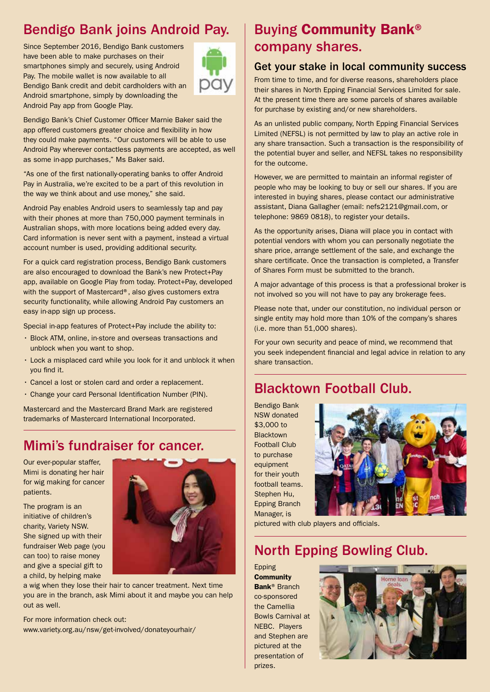# Bendigo Bank joins Android Pay.

Since September 2016, Bendigo Bank customers have been able to make purchases on their smartphones simply and securely, using Android Pay. The mobile wallet is now available to all Bendigo Bank credit and debit cardholders with an Android smartphone, simply by downloading the Android Pay app from Google Play.



Bendigo Bank's Chief Customer Officer Marnie Baker said the app offered customers greater choice and flexibility in how they could make payments. "Our customers will be able to use Android Pay wherever contactless payments are accepted, as well as some in-app purchases," Ms Baker said.

"As one of the first nationally-operating banks to offer Android Pay in Australia, we're excited to be a part of this revolution in the way we think about and use money," she said.

Android Pay enables Android users to seamlessly tap and pay with their phones at more than 750,000 payment terminals in Australian shops, with more locations being added every day. Card information is never sent with a payment, instead a virtual account number is used, providing additional security.

For a quick card registration process, Bendigo Bank customers are also encouraged to download the Bank's new Protect+Pay app, available on Google Play from today. Protect+Pay, developed with the support of Mastercard®, also gives customers extra security functionality, while allowing Android Pay customers an easy in-app sign up process.

Special in-app features of Protect+Pay include the ability to:

- Block ATM, online, in-store and overseas transactions and unblock when you want to shop.
- Lock a misplaced card while you look for it and unblock it when you find it.
- Cancel a lost or stolen card and order a replacement.
- Change your card Personal Identification Number (PIN).

Mastercard and the Mastercard Brand Mark are registered trademarks of Mastercard International Incorporated.

#### Mimi's fundraiser for cancer.

Our ever-popular staffer, Mimi is donating her hair for wig making for cancer patients.

The program is an initiative of children's charity, Variety NSW. She signed up with their fundraiser Web page (you can too) to raise money and give a special gift to a child, by helping make



a wig when they lose their hair to cancer treatment. Next time you are in the branch, ask Mimi about it and maybe you can help out as well.

For more information check out: www.variety.org.au/nsw/get-involved/donateyourhair/

## Buying Community Bank® company shares.

#### Get your stake in local community success

From time to time, and for diverse reasons, shareholders place their shares in North Epping Financial Services Limited for sale. At the present time there are some parcels of shares available for purchase by existing and/or new shareholders.

As an unlisted public company, North Epping Financial Services Limited (NEFSL) is not permitted by law to play an active role in any share transaction. Such a transaction is the responsibility of the potential buyer and seller, and NEFSL takes no responsibility for the outcome.

However, we are permitted to maintain an informal register of people who may be looking to buy or sell our shares. If you are interested in buying shares, please contact our administrative assistant, Diana Gallagher (email: nefs2121@gmail.com, or telephone: 9869 0818), to register your details.

As the opportunity arises, Diana will place you in contact with potential vendors with whom you can personally negotiate the share price, arrange settlement of the sale, and exchange the share certificate. Once the transaction is completed, a Transfer of Shares Form must be submitted to the branch.

A major advantage of this process is that a professional broker is not involved so you will not have to pay any brokerage fees.

Please note that, under our constitution, no individual person or single entity may hold more than 10% of the company's shares (i.e. more than 51,000 shares).

For your own security and peace of mind, we recommend that you seek independent financial and legal advice in relation to any share transaction.

### Blacktown Football Club.

Bendigo Bank NSW donated \$3,000 to **Blacktown** Football Club to purchase equipment for their youth football teams. Stephen Hu, Epping Branch Manager, is



pictured with club players and officials.

### North Epping Bowling Club.

Epping **Community** Bank® Branch co-sponsored the Camellia Bowls Carnival at NEBC. Players and Stephen are pictured at the presentation of prizes.